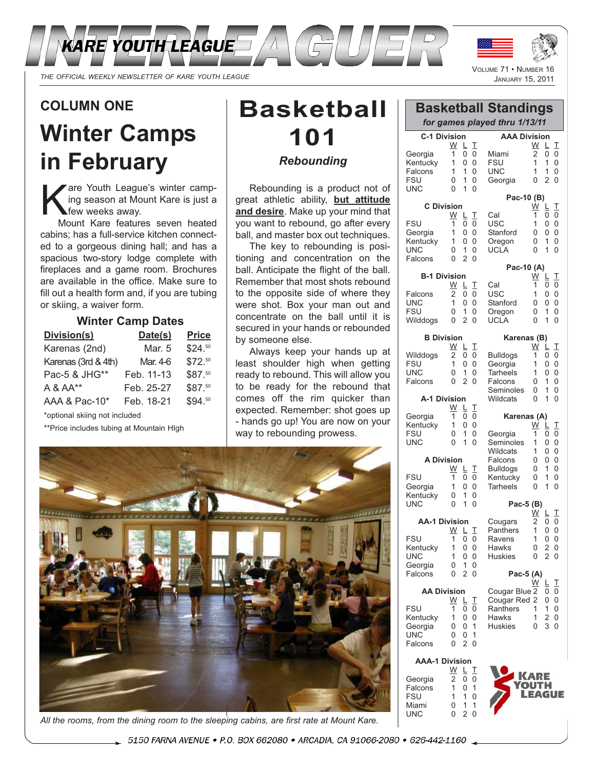

*THE OFFICIAL WEEKLY NEWSLETTER OF KARE YOUTH LEAGUE* JANUARY 15, 2011

# **COLUMN ONE**

# **Winter Camps in February**

The Youth League's winter camp-<br>
Sing season at Mount Kare is just a<br>
Mount Kare features seven beated ing season at Mount Kare is just a few weeks away.

Mount Kare features seven heated cabins; has a full-service kitchen connected to a gorgeous dining hall; and has a spacious two-story lodge complete with fireplaces and a game room. Brochures are available in the office. Make sure to fill out a health form and, if you are tubing or skiing, a waiver form.

### **Winter Camp Dates**

| Division(s)         | Date(s)    | <b>Price</b> |
|---------------------|------------|--------------|
| Karenas (2nd)       | Mar. 5     | \$24.50      |
| Karenas (3rd & 4th) | Mar. 4-6   | \$72.50      |
| Pac-5 & JHG**       | Feb. 11-13 | \$87.50      |
| A & AA**            | Feb. 25-27 | \$87.50      |
| AAA & Pac-10*       | Feb. 18-21 | \$94.50      |

\*optional skiing not included

\*\*Price includes tubing at Mountain HIgh

# **Basketball 101** *Rebounding*

Rebounding is a product not of great athletic ability, **but attitude and desire**. Make up your mind that you want to rebound, go after every ball, and master box out techniques.

The key to rebounding is positioning and concentration on the ball. Anticipate the flight of the ball. Remember that most shots rebound to the opposite side of where they were shot. Box your man out and concentrate on the ball until it is secured in your hands or rebounded by someone else.

Always keep your hands up at least shoulder high when getting ready to rebound. This will allow you to be ready for the rebound that comes off the rim quicker than expected. Remember: shot goes up - hands go up! You are now on your way to rebounding prowess.



*All the rooms, from the dining room to the sleeping cabins, are first rate at Mount Kare.*

VOLUME 71 • NUMBER

|                                                     |                                   |                                         |                            | <b>Basketball Standings</b><br>for games played thru 1/13/11 |                                    |                                    |                                                 |
|-----------------------------------------------------|-----------------------------------|-----------------------------------------|----------------------------|--------------------------------------------------------------|------------------------------------|------------------------------------|-------------------------------------------------|
| <b>C-1 Division</b>                                 |                                   |                                         |                            | <b>AAA Division</b>                                          |                                    |                                    |                                                 |
| Georgia<br>Kentucky<br>Falcons<br><b>FSU</b><br>UNC | W<br>1<br>1<br>1<br>0<br>$\Omega$ | L<br>0<br>0<br>1<br>1<br>1              | I<br>0<br>0<br>0<br>0<br>0 | Miami<br>FSU<br><b>UNC</b><br>Georgia                        | W<br>2<br>1<br>1<br>$\overline{0}$ | L<br>0<br>1<br>1<br>$\overline{2}$ | I<br>0<br>0<br>0<br>$\overline{0}$              |
|                                                     |                                   |                                         |                            | Pac-10 (B)                                                   |                                    |                                    |                                                 |
| <b>C</b> Division                                   |                                   |                                         |                            |                                                              | <u>w</u>                           | Ļ                                  | I                                               |
| <b>FSU</b><br>Georgia<br>Kentucky<br>UNC<br>Falcons | W<br>1<br>1<br>1<br>0<br>0        | L<br>0<br>0<br>0<br>1<br>$\overline{2}$ | I<br>0<br>0<br>0<br>0<br>0 | Cal<br>USC<br>Stanford<br>Oregon<br><b>UCLA</b>              | 1<br>1<br>0<br>0<br>$\overline{0}$ | 0<br>0<br>0<br>1<br>1              | 0<br>0<br>0<br>0<br>0                           |
|                                                     |                                   |                                         |                            | Pac-10 (A)                                                   |                                    |                                    |                                                 |
| <b>B-1 Division</b>                                 | W                                 | L                                       | I                          | Cal                                                          | <u>W</u><br>1                      | Ļ<br>0                             | I<br>0                                          |
| Falcons<br>UNC<br><b>FSU</b><br>Wilddogs            | 2<br>1<br>0<br>0                  | 0<br>0<br>1<br>$\overline{2}$           | 0<br>0<br>0<br>0           | USC<br>Stanford<br>Oregon<br><b>UCLA</b>                     | 1<br>0<br>0<br>$\overline{0}$      | 0<br>0<br>1<br>1                   | 0<br>0<br>0<br>0                                |
| <b>B</b> Division                                   |                                   |                                         |                            | Karenas (B)                                                  |                                    |                                    |                                                 |
| Wilddogs<br><b>FSU</b><br>UNC<br>Falcons            | W<br>2<br>1<br>0<br>0             | Ļ<br>0<br>0<br>1<br>$\overline{2}$      | I<br>0<br>0<br>0<br>0      | <b>Bulldogs</b><br>Georgia<br><b>Tarheels</b><br>Falcons     | <u>W</u><br>1<br>1<br>1<br>0       | Ļ<br>0<br>0<br>0<br>1              | I<br>$\overline{0}$<br>0<br>$\overline{0}$<br>0 |
| A-1 Division                                        |                                   |                                         |                            | Seminoles<br>Wildcats                                        | 0<br>0                             | 1<br>1                             | 0<br>$\overline{0}$                             |
|                                                     | $\underline{W}$                   | L                                       | I                          |                                                              |                                    |                                    |                                                 |
| Georgia                                             | 1<br>1                            | 0<br>0                                  | 0<br>0                     | Karenas (A)                                                  |                                    |                                    |                                                 |
| Kentucky<br><b>FSU</b><br>UNC                       | 0<br>$\Omega$                     | 1<br>1                                  | 0<br>0                     | Georgia<br>Seminoles<br>Wildcats                             | <u>W</u><br>1<br>1<br>1            | L<br>0<br>0<br>0                   | I<br>0<br>0<br>0                                |
| <b>A Division</b>                                   |                                   |                                         |                            | Falcons                                                      | 0                                  | 0                                  | $\overline{0}$                                  |
| FSU<br>Georgia<br>Kentucky                          | <u>W</u><br>1<br>1<br>0           | L<br>0<br>0<br>1                        | I<br>0<br>0<br>0           | <b>Bulldogs</b><br>Kentucky<br><b>Tarheels</b>               | 0<br>0<br>0                        | 1<br>1<br>1                        | 0<br>0<br>$\Omega$                              |
| UNC                                                 | $\Omega$                          | 1                                       | $\Omega$                   | Pac-5 (B)                                                    |                                    |                                    |                                                 |
| <b>AA-1 Division</b>                                |                                   |                                         |                            | Cougars                                                      | <u>W</u><br>2                      | ╚<br>0                             | Т<br>0                                          |
|                                                     | $\underline{W}$ $\underline{L}$   |                                         | I                          | Panthers                                                     | $\mathbf{1}$                       | 0                                  | $\Omega$                                        |
| <b>FSU</b><br>Kentucky                              | 1<br>1                            | 0<br>0                                  | 0<br>0                     | Ravens<br>Hawks                                              | 1<br>0                             | 0<br>2                             | 0<br>0                                          |
| UNC                                                 | 1                                 | 0                                       | 0                          | <b>Huskies</b>                                               | 0                                  | $\overline{2}$                     | 0                                               |
| Georgia<br>Falcons                                  | 0<br>0                            | 1<br>$\overline{2}$                     | 0<br>0                     | Pac-5 (A)                                                    |                                    |                                    |                                                 |
|                                                     |                                   |                                         |                            |                                                              | W                                  | L                                  | I                                               |
| <b>AA Division</b>                                  | $\underline{W}$                   | L                                       | I                          | Cougar Blue 2<br>Cougar Red 2                                |                                    | 0<br>0                             | 0<br>0                                          |
| <b>FSU</b>                                          | 1                                 | 0                                       | 0                          | Ranthers                                                     | 1                                  | 1                                  | 0                                               |
| Kentucky<br>Georgia                                 | 1<br>0                            | 0<br>0                                  | 0<br>1                     | Hawks<br><b>Huskies</b>                                      | 1<br>0                             | 2<br>3                             | 0<br>0                                          |
| UNC                                                 | 0                                 | 0                                       | 1                          |                                                              |                                    |                                    |                                                 |
| Falcons<br><b>AAA-1 Division</b>                    | 0                                 | $\overline{2}$                          | 0                          |                                                              |                                    |                                    |                                                 |
|                                                     | $\underline{W}$                   | L                                       | I                          |                                                              | <b>KARE</b>                        |                                    |                                                 |
| Georgia<br>Falcons<br><b>FSU</b><br>Miami           | $\overline{2}$<br>1<br>1<br>0     | 0<br>0<br>1<br>1                        | 0<br>1<br>0<br>1           |                                                              | OUTH                               |                                    | <b>AGUE</b>                                     |
|                                                     |                                   |                                         |                            |                                                              |                                    |                                    |                                                 |

Miami 0 1 1<br>UNC 0 2 0

UNC

5150 FARNA AVENUE · P.O. BOX 662080 · ARCADIA, CA 91066-2080 · 626-442-1160